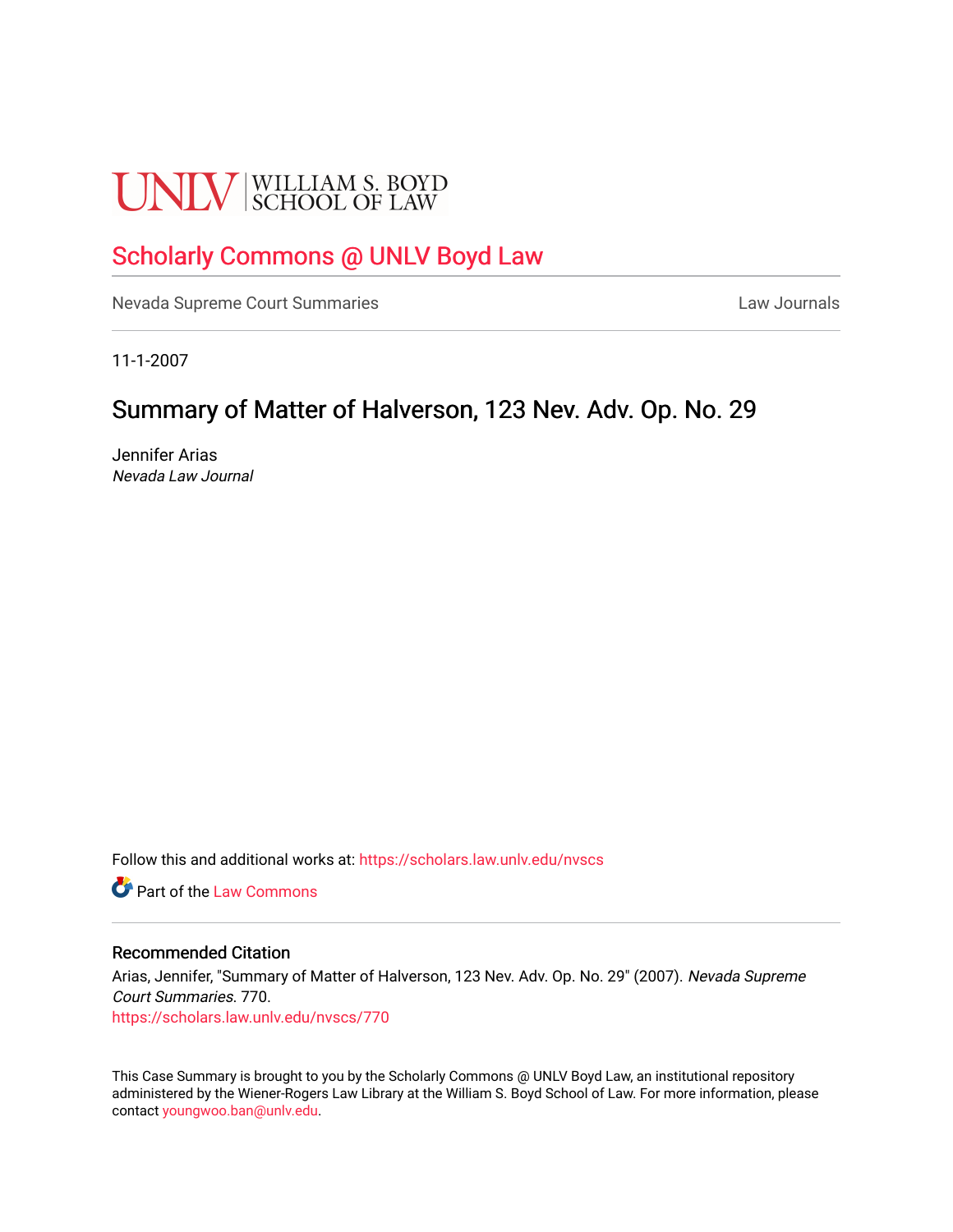# **UNLV** SCHOOL OF LAW

# [Scholarly Commons @ UNLV Boyd Law](https://scholars.law.unlv.edu/)

[Nevada Supreme Court Summaries](https://scholars.law.unlv.edu/nvscs) **Law Journals** Law Journals

11-1-2007

# Summary of Matter of Halverson, 123 Nev. Adv. Op. No. 29

Jennifer Arias Nevada Law Journal

Follow this and additional works at: [https://scholars.law.unlv.edu/nvscs](https://scholars.law.unlv.edu/nvscs?utm_source=scholars.law.unlv.edu%2Fnvscs%2F770&utm_medium=PDF&utm_campaign=PDFCoverPages)

**C** Part of the [Law Commons](http://network.bepress.com/hgg/discipline/578?utm_source=scholars.law.unlv.edu%2Fnvscs%2F770&utm_medium=PDF&utm_campaign=PDFCoverPages)

#### Recommended Citation

Arias, Jennifer, "Summary of Matter of Halverson, 123 Nev. Adv. Op. No. 29" (2007). Nevada Supreme Court Summaries. 770. [https://scholars.law.unlv.edu/nvscs/770](https://scholars.law.unlv.edu/nvscs/770?utm_source=scholars.law.unlv.edu%2Fnvscs%2F770&utm_medium=PDF&utm_campaign=PDFCoverPages)

This Case Summary is brought to you by the Scholarly Commons @ UNLV Boyd Law, an institutional repository administered by the Wiener-Rogers Law Library at the William S. Boyd School of Law. For more information, please contact [youngwoo.ban@unlv.edu](mailto:youngwoo.ban@unlv.edu).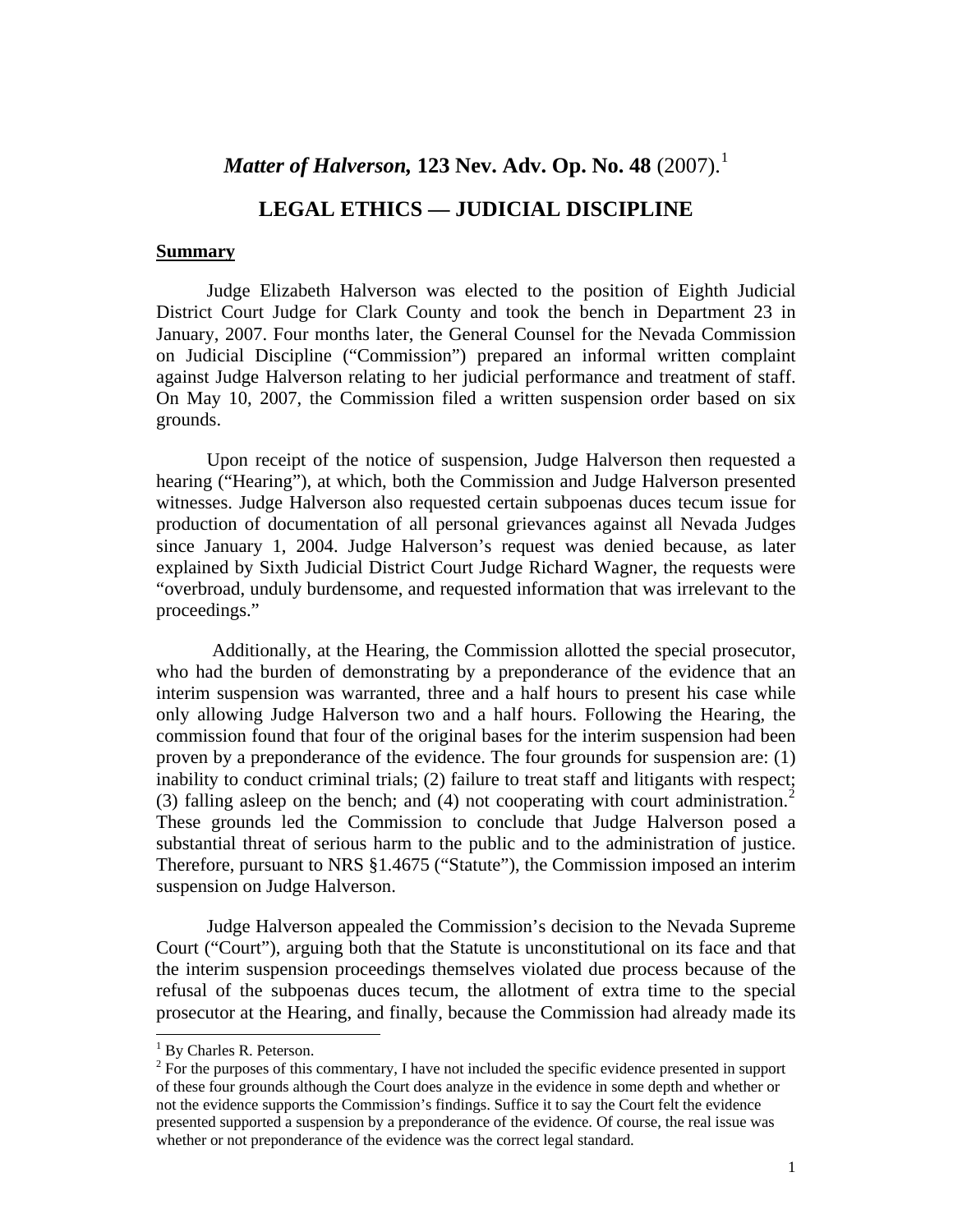## *Matter of Halverson, [1](#page-1-0)23 Nev. Adv. Op. No. 48* (2007).<sup>1</sup>

## **LEGAL ETHICS — JUDICIAL DISCIPLINE**

#### **Summary**

Judge Elizabeth Halverson was elected to the position of Eighth Judicial District Court Judge for Clark County and took the bench in Department 23 in January, 2007. Four months later, the General Counsel for the Nevada Commission on Judicial Discipline ("Commission") prepared an informal written complaint against Judge Halverson relating to her judicial performance and treatment of staff. On May 10, 2007, the Commission filed a written suspension order based on six grounds.

Upon receipt of the notice of suspension, Judge Halverson then requested a hearing ("Hearing"), at which, both the Commission and Judge Halverson presented witnesses. Judge Halverson also requested certain subpoenas duces tecum issue for production of documentation of all personal grievances against all Nevada Judges since January 1, 2004. Judge Halverson's request was denied because, as later explained by Sixth Judicial District Court Judge Richard Wagner, the requests were "overbroad, unduly burdensome, and requested information that was irrelevant to the proceedings."

 Additionally, at the Hearing, the Commission allotted the special prosecutor, who had the burden of demonstrating by a preponderance of the evidence that an interim suspension was warranted, three and a half hours to present his case while only allowing Judge Halverson two and a half hours. Following the Hearing, the commission found that four of the original bases for the interim suspension had been proven by a preponderance of the evidence. The four grounds for suspension are: (1) inability to conduct criminal trials; (2) failure to treat staff and litigants with respect; (3) falling asleep on the bench; and (4) not cooperating with court administration.<sup>[2](#page-1-1)</sup> These grounds led the Commission to conclude that Judge Halverson posed a substantial threat of serious harm to the public and to the administration of justice. Therefore, pursuant to NRS §1.4675 ("Statute"), the Commission imposed an interim suspension on Judge Halverson.

Judge Halverson appealed the Commission's decision to the Nevada Supreme Court ("Court"), arguing both that the Statute is unconstitutional on its face and that the interim suspension proceedings themselves violated due process because of the refusal of the subpoenas duces tecum, the allotment of extra time to the special prosecutor at the Hearing, and finally, because the Commission had already made its

-

<sup>&</sup>lt;sup>1</sup> By Charles R. Peterson.

<span id="page-1-1"></span><span id="page-1-0"></span> $2^{2}$  For the purposes of this commentary, I have not included the specific evidence presented in support of these four grounds although the Court does analyze in the evidence in some depth and whether or not the evidence supports the Commission's findings. Suffice it to say the Court felt the evidence presented supported a suspension by a preponderance of the evidence. Of course, the real issue was whether or not preponderance of the evidence was the correct legal standard.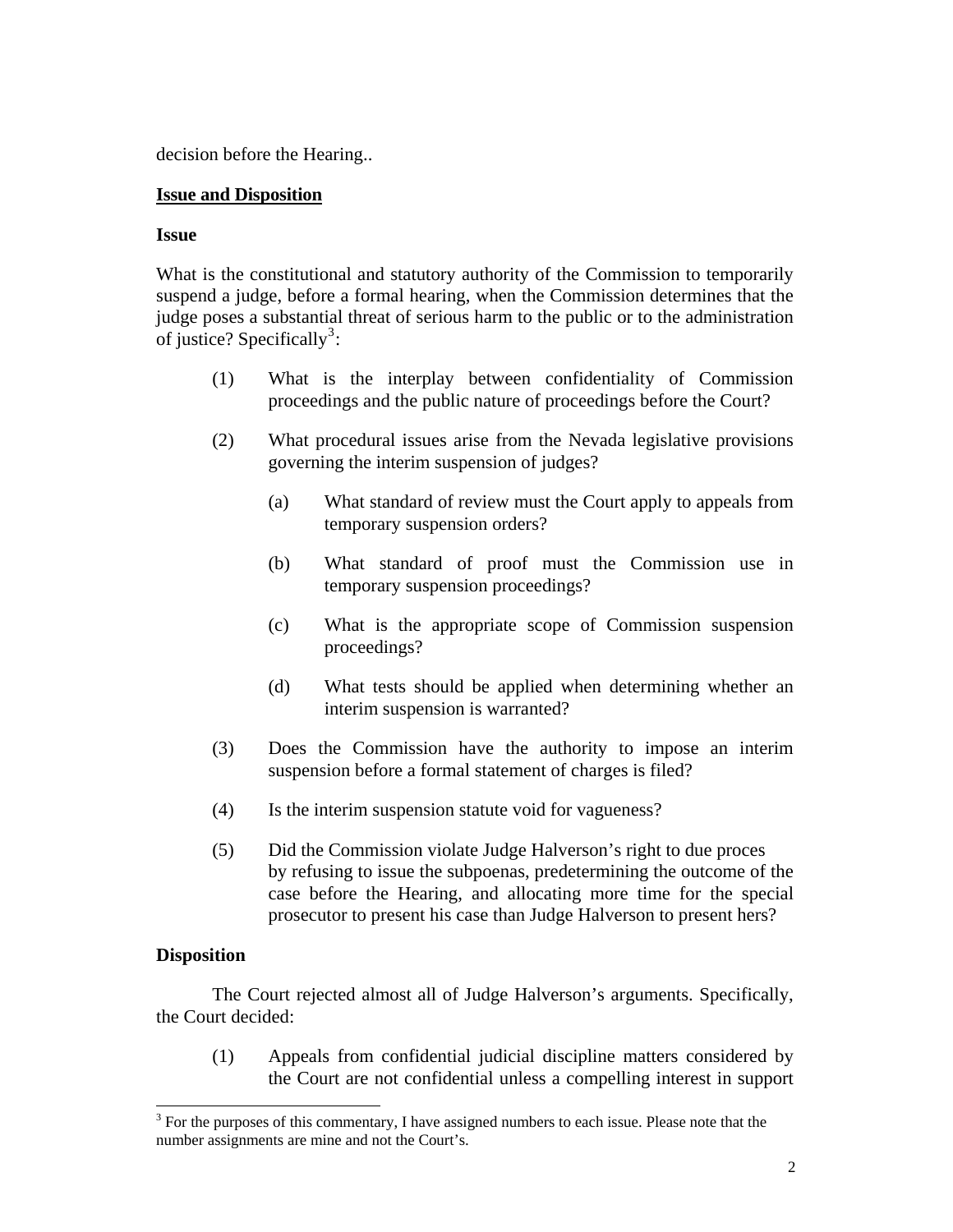decision before the Hearing..

#### **Issue and Disposition**

#### **Issue**

What is the constitutional and statutory authority of the Commission to temporarily suspend a judge, before a formal hearing, when the Commission determines that the judge poses a substantial threat of serious harm to the public or to the administration of justice? Specifically<sup>[3](#page-2-0)</sup>:

- (1) What is the interplay between confidentiality of Commission proceedings and the public nature of proceedings before the Court?
- (2) What procedural issues arise from the Nevada legislative provisions governing the interim suspension of judges?
	- (a) What standard of review must the Court apply to appeals from temporary suspension orders?
	- (b) What standard of proof must the Commission use in temporary suspension proceedings?
	- (c) What is the appropriate scope of Commission suspension proceedings?
	- (d) What tests should be applied when determining whether an interim suspension is warranted?
- (3) Does the Commission have the authority to impose an interim suspension before a formal statement of charges is filed?
- (4) Is the interim suspension statute void for vagueness?
- (5) Did the Commission violate Judge Halverson's right to due proces by refusing to issue the subpoenas, predetermining the outcome of the case before the Hearing, and allocating more time for the special prosecutor to present his case than Judge Halverson to present hers?

#### **Disposition**

1

The Court rejected almost all of Judge Halverson's arguments. Specifically, the Court decided:

(1) Appeals from confidential judicial discipline matters considered by the Court are not confidential unless a compelling interest in support

<span id="page-2-0"></span> $3$  For the purposes of this commentary, I have assigned numbers to each issue. Please note that the number assignments are mine and not the Court's.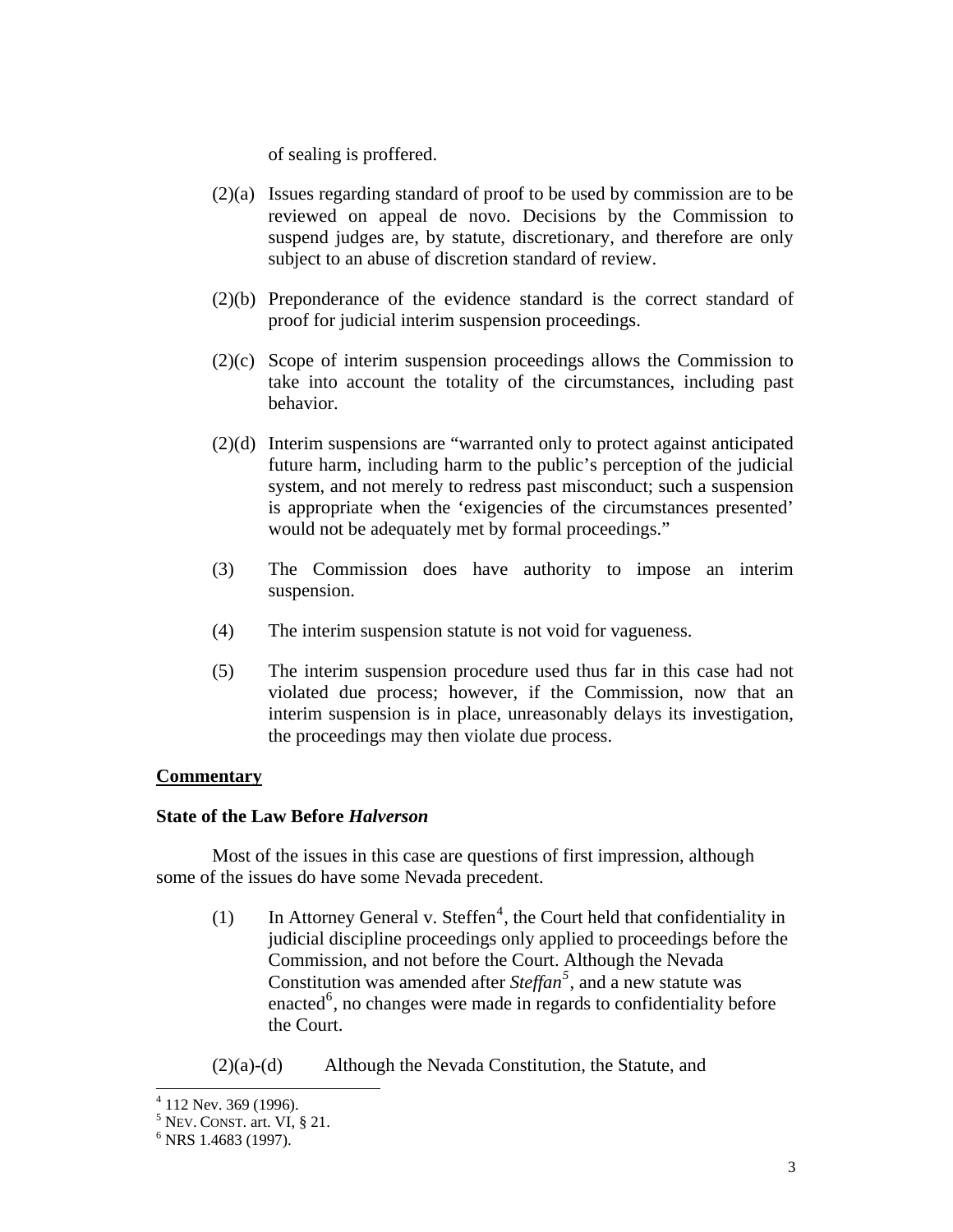of sealing is proffered.

- (2)(a) Issues regarding standard of proof to be used by commission are to be reviewed on appeal de novo. Decisions by the Commission to suspend judges are, by statute, discretionary, and therefore are only subject to an abuse of discretion standard of review.
- (2)(b) Preponderance of the evidence standard is the correct standard of proof for judicial interim suspension proceedings.
- (2)(c) Scope of interim suspension proceedings allows the Commission to take into account the totality of the circumstances, including past behavior.
- (2)(d) Interim suspensions are "warranted only to protect against anticipated future harm, including harm to the public's perception of the judicial system, and not merely to redress past misconduct; such a suspension is appropriate when the 'exigencies of the circumstances presented' would not be adequately met by formal proceedings."
- (3) The Commission does have authority to impose an interim suspension.
- (4) The interim suspension statute is not void for vagueness.
- (5) The interim suspension procedure used thus far in this case had not violated due process; however, if the Commission, now that an interim suspension is in place, unreasonably delays its investigation, the proceedings may then violate due process.

#### **Commentary**

#### **State of the Law Before** *Halverson*

 Most of the issues in this case are questions of first impression, although some of the issues do have some Nevada precedent.

(1) In Attorney General v. Steffen<sup>[4](#page-3-0)</sup>, the Court held that confidentiality in judicial discipline proceedings only applied to proceedings before the Commission, and not before the Court. Although the Nevada Constitution was amended after *Steffan[5](#page-3-1)* , and a new statute was enacted $<sup>6</sup>$  $<sup>6</sup>$  $<sup>6</sup>$ , no changes were made in regards to confidentiality before</sup> the Court.

(2)(a)-(d) Although the Nevada Constitution, the Statute, and

 4 112 Nev. 369 (1996).

<span id="page-3-1"></span><span id="page-3-0"></span><sup>&</sup>lt;sup>5</sup> Nev. CONST. art. VI, § 21.

<span id="page-3-2"></span> $6$  NRS 1.4683 (1997).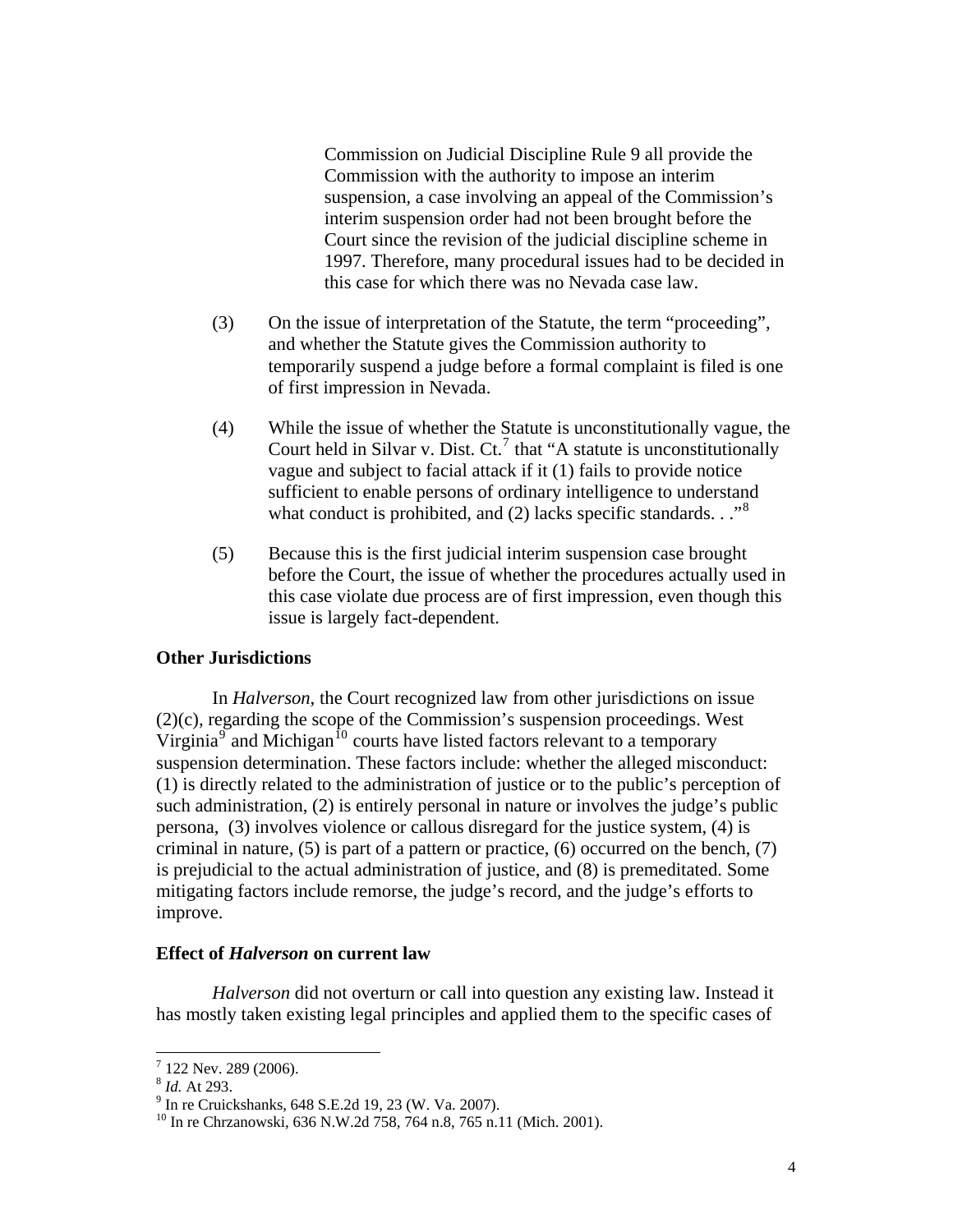Commission on Judicial Discipline Rule 9 all provide the Commission with the authority to impose an interim suspension*,* a case involving an appeal of the Commission's interim suspension order had not been brought before the Court since the revision of the judicial discipline scheme in 1997. Therefore, many procedural issues had to be decided in this case for which there was no Nevada case law.

- (3) On the issue of interpretation of the Statute, the term "proceeding", and whether the Statute gives the Commission authority to temporarily suspend a judge before a formal complaint is filed is one of first impression in Nevada.
- (4) While the issue of whether the Statute is unconstitutionally vague, the Court held in Silvar v. Dist.  $Ct^7$  $Ct^7$  that "A statute is unconstitutionally vague and subject to facial attack if it (1) fails to provide notice sufficient to enable persons of ordinary intelligence to understand what conduct is prohibited, and (2) lacks specific standards. . .<sup>[8](#page-4-1)</sup>
- (5) Because this is the first judicial interim suspension case brought before the Court, the issue of whether the procedures actually used in this case violate due process are of first impression, even though this issue is largely fact-dependent.

#### **Other Jurisdictions**

 In *Halverson*, the Court recognized law from other jurisdictions on issue (2)(c), regarding the scope of the Commission's suspension proceedings. West Virginia $\sigma$  and Michigan<sup>[10](#page-4-3)</sup> courts have listed factors relevant to a temporary suspension determination. These factors include: whether the alleged misconduct: (1) is directly related to the administration of justice or to the public's perception of such administration, (2) is entirely personal in nature or involves the judge's public persona, (3) involves violence or callous disregard for the justice system, (4) is criminal in nature,  $(5)$  is part of a pattern or practice,  $(6)$  occurred on the bench,  $(7)$ is prejudicial to the actual administration of justice, and (8) is premeditated. Some mitigating factors include remorse, the judge's record, and the judge's efforts to improve.

#### **Effect of** *Halverson* **on current law**

*Halverson* did not overturn or call into question any existing law. Instead it has mostly taken existing legal principles and applied them to the specific cases of

1

 $7$  122 Nev. 289 (2006).

<span id="page-4-1"></span><span id="page-4-0"></span><sup>&</sup>lt;sup>8</sup> *Id.* At 293.

<span id="page-4-3"></span><span id="page-4-2"></span> $9$  In re Cruickshanks, 648 S.E.2d 19, 23 (W. Va. 2007).

<sup>&</sup>lt;sup>10</sup> In re Chrzanowski, 636 N.W.2d 758, 764 n.8, 765 n.11 (Mich. 2001).